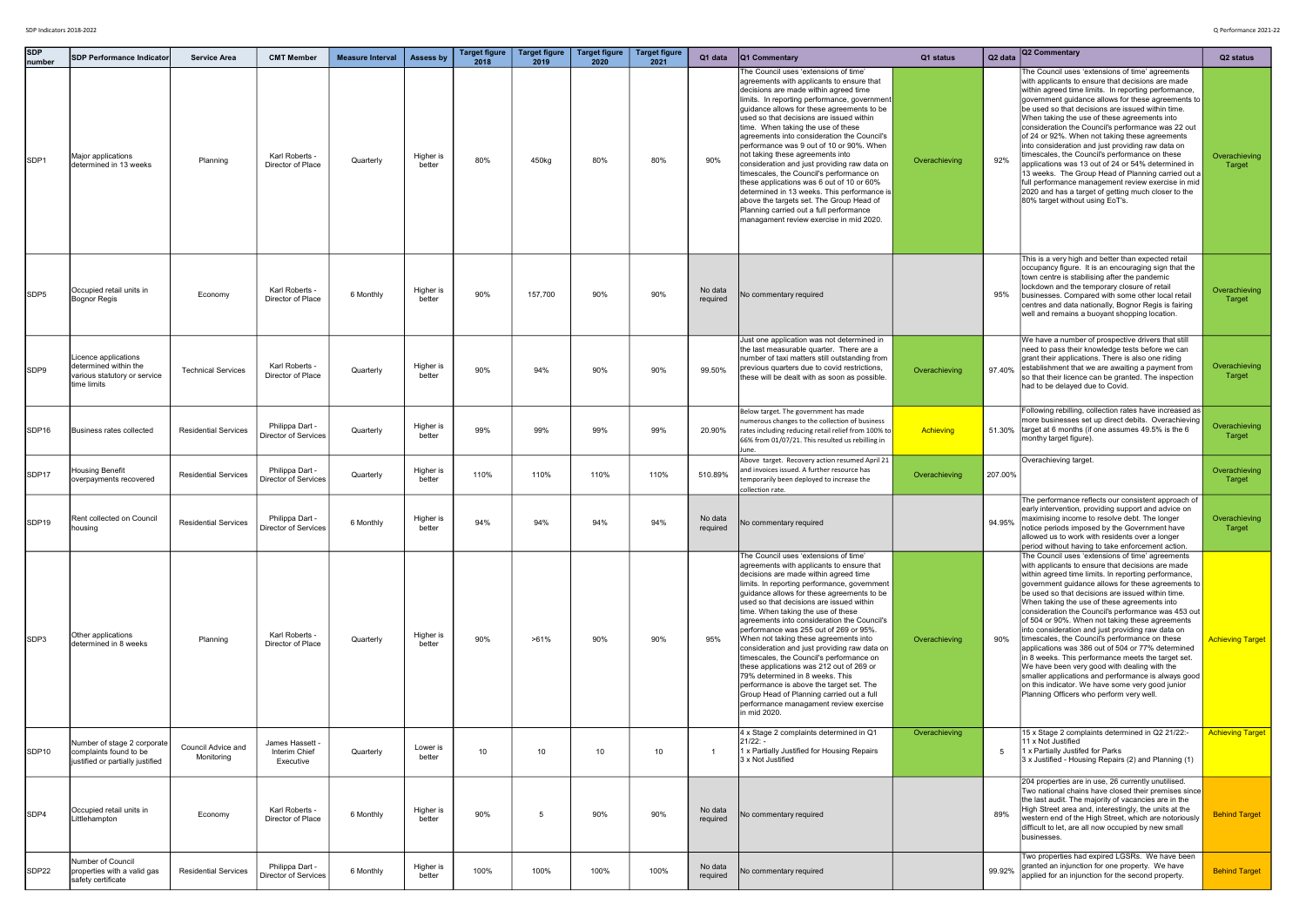| <b>SDP</b><br>number | <b>ISDP Performance Indicator</b>                                                            | <b>Service Area</b>              | <b>CMT Member</b>                             | <b>Measure Interval</b> | Assess by           | <b>Target figure</b><br>2018 | <b>Target figure</b><br>2019 | <b>Target figure</b><br>2020 | <b>Target figure</b><br>2021 | Q1 data             | <b>Q1 Commentary</b>                                                                                                                                                                                                                                                                                                                                                                                                                                                                                                                                                                                                                                                                                                                                                        | Q1 status        | Q <sub>2</sub> data | Q2 Commentary                                                                                                                                                                                                                                                                                                                                                                                                                                                                                                                                                                                                                                                                                                                                                                                                                                               | Q <sub>2</sub> status          |
|----------------------|----------------------------------------------------------------------------------------------|----------------------------------|-----------------------------------------------|-------------------------|---------------------|------------------------------|------------------------------|------------------------------|------------------------------|---------------------|-----------------------------------------------------------------------------------------------------------------------------------------------------------------------------------------------------------------------------------------------------------------------------------------------------------------------------------------------------------------------------------------------------------------------------------------------------------------------------------------------------------------------------------------------------------------------------------------------------------------------------------------------------------------------------------------------------------------------------------------------------------------------------|------------------|---------------------|-------------------------------------------------------------------------------------------------------------------------------------------------------------------------------------------------------------------------------------------------------------------------------------------------------------------------------------------------------------------------------------------------------------------------------------------------------------------------------------------------------------------------------------------------------------------------------------------------------------------------------------------------------------------------------------------------------------------------------------------------------------------------------------------------------------------------------------------------------------|--------------------------------|
| SDP1                 | Major applications<br>determined in 13 weeks                                                 | Planning                         | Karl Roberts<br>Director of Place             | Quarterly               | Higher is<br>better | 80%                          | 450kg                        | 80%                          | 80%                          | 90%                 | The Council uses 'extensions of time'<br>agreements with applicants to ensure that<br>decisions are made within agreed time<br>limits. In reporting performance, government<br>quidance allows for these agreements to be<br>used so that decisions are issued within<br>time. When taking the use of these<br>agreements into consideration the Council's<br>performance was 9 out of 10 or 90%. When<br>not taking these agreements into<br>consideration and just providing raw data on<br>timescales, the Council's performance on<br>these applications was 6 out of 10 or 60%<br>determined in 13 weeks. This performance is<br>above the targets set. The Group Head of<br>Planning carried out a full performance<br>managament review exercise in mid 2020.        | Overachieving    | 92%                 | The Council uses 'extensions of time' agreements<br>with applicants to ensure that decisions are made<br>within agreed time limits. In reporting performance,<br>government guidance allows for these agreements to<br>be used so that decisions are issued within time.<br>When taking the use of these agreements into<br>consideration the Council's performance was 22 out<br>of 24 or 92%. When not taking these agreements<br>into consideration and just providing raw data on<br>timescales, the Council's performance on these<br>applications was 13 out of 24 or 54% determined in<br>13 weeks. The Group Head of Planning carried out a<br>full performance management review exercise in mid<br>2020 and has a target of getting much closer to the<br>80% target without using EoT's.                                                         | <b>Overachieving</b><br>Target |
| SDP <sub>5</sub>     | Occupied retail units in<br><b>Bognor Regis</b>                                              | Economy                          | Karl Roberts<br>Director of Place             | 6 Monthly               | Higher is<br>better | 90%                          | 157,700                      | 90%                          | 90%                          | No data<br>required | No commentary required                                                                                                                                                                                                                                                                                                                                                                                                                                                                                                                                                                                                                                                                                                                                                      |                  | 95%                 | This is a very high and better than expected retail<br>occupancy figure. It is an encouraging sign that the<br>town centre is stabilising after the pandemic<br>lockdown and the temporary closure of retail<br>businesses. Compared with some other local retail<br>centres and data nationally, Bognor Regis is fairing<br>well and remains a buoyant shopping location.                                                                                                                                                                                                                                                                                                                                                                                                                                                                                  | Overachieving<br>Target        |
| SDP9                 | Licence applications<br>determined within the<br>various statutory or service<br>time limits | <b>Technical Services</b>        | Karl Roberts -<br>Director of Place           | Quarterly               | Higher is<br>better | 90%                          | 94%                          | 90%                          | 90%                          | 99.50%              | Just one application was not determined in<br>the last measurable quarter. There are a<br>number of taxi matters still outstanding from<br>previous quarters due to covid restrictions,<br>these will be dealt with as soon as possible.                                                                                                                                                                                                                                                                                                                                                                                                                                                                                                                                    | Overachieving    | 97.40%              | We have a number of prospective drivers that still<br>need to pass their knowledge tests before we can<br>grant their applications. There is also one riding<br>establishment that we are awaiting a payment from<br>so that their licence can be granted. The inspection<br>had to be delayed due to Covid.                                                                                                                                                                                                                                                                                                                                                                                                                                                                                                                                                | Overachieving<br>Target        |
| SDP16                | Business rates collected                                                                     | <b>Residential Services</b>      | Philippa Dart -<br>Director of Services       | Quarterly               | Higher is<br>better | 99%                          | 99%                          | 99%                          | 99%                          | 20.90%              | Below target. The government has made<br>numerous changes to the collection of business<br>rates including reducing retail relief from 100% to<br>66% from 01/07/21. This resulted us rebilling in<br>June.                                                                                                                                                                                                                                                                                                                                                                                                                                                                                                                                                                 | <b>Achieving</b> |                     | Following rebilling, collection rates have increased as<br>more businesses set up direct debits. Overachieving<br>51.30% target at 6 months (if one assumes 49.5% is the 6<br>monthy target figure).                                                                                                                                                                                                                                                                                                                                                                                                                                                                                                                                                                                                                                                        | Overachieving<br>Target        |
| SDP17                | <b>Housing Benefit</b><br>overpayments recovered                                             | <b>Residential Services</b>      | Philippa Dart -<br>Director of Services       | Quarterly               | Higher is<br>better | 110%                         | 110%                         | 110%                         | 110%                         | 510.89%             | Above target. Recovery action resumed April 21<br>and invoices issued. A further resource has<br>temporarily been deployed to increase the<br>collection rate.                                                                                                                                                                                                                                                                                                                                                                                                                                                                                                                                                                                                              | Overachieving    | 207.00%             | Overachieving target.                                                                                                                                                                                                                                                                                                                                                                                                                                                                                                                                                                                                                                                                                                                                                                                                                                       | Overachieving<br>Target        |
| SDP19                | Rent collected on Council<br>housing                                                         | <b>Residential Services</b>      | Philippa Dart -<br>Director of Services       | 6 Monthly               | Higher is<br>better | 94%                          | 94%                          | 94%                          | 94%                          | No data<br>required | No commentary required                                                                                                                                                                                                                                                                                                                                                                                                                                                                                                                                                                                                                                                                                                                                                      |                  | 94.95%              | The performance reflects our consistent approach of<br>early intervention, providing support and advice on<br>maximising income to resolve debt. The longer<br>notice periods imposed by the Government have<br>allowed us to work with residents over a longer<br>period without having to take enforcement action.                                                                                                                                                                                                                                                                                                                                                                                                                                                                                                                                        | Overachieving<br>Target        |
| SDP3                 | Other applications<br>determined in 8 weeks                                                  | Planning                         | Karl Roberts -<br>Director of Place           | Quarterly               | Higher is<br>better | 90%                          | $>61\%$                      | 90%                          | 90%                          | 95%                 | The Council uses 'extensions of time'<br>agreements with applicants to ensure that<br>decisions are made within agreed time<br>limits. In reporting performance, government<br>guidance allows for these agreements to be<br>used so that decisions are issued within<br>time. When taking the use of these<br>agreements into consideration the Council's<br>performance was 255 out of 269 or 95%.<br>When not taking these agreements into<br>consideration and just providing raw data on<br>timescales, the Council's performance on<br>these applications was 212 out of 269 or<br>79% determined in 8 weeks. This<br>performance is above the target set. The<br>Group Head of Planning carried out a full<br>performance managament review exercise<br>in mid 2020. | Overachieving    | 90%                 | The Council uses 'extensions of time' agreements<br>with applicants to ensure that decisions are made<br>within agreed time limits. In reporting performance,<br>government quidance allows for these agreements to<br>be used so that decisions are issued within time.<br>When taking the use of these agreements into<br>consideration the Council's performance was 453 out<br>of 504 or 90%. When not taking these agreements<br>into consideration and just providing raw data on<br>timescales, the Council's performance on these<br>applications was 386 out of 504 or 77% determined<br>in 8 weeks. This performance meets the target set.<br>We have been very good with dealing with the<br>smaller applications and performance is always good<br>on this indicator. We have some very good junior<br>Planning Officers who perform very well. | <b>Achieving Target</b>        |
| SDP10                | Number of stage 2 corporate<br>complaints found to be<br>justified or partially justified    | Council Advice and<br>Monitoring | James Hassett -<br>Interim Chief<br>Executive | Quarterly               | Lower is<br>better  | 10                           | 10                           | 10                           | 10                           |                     | 4 x Stage 2 complaints determined in Q1<br>21/22: -<br>1 x Partially Justified for Housing Repairs<br>3 x Not Justified                                                                                                                                                                                                                                                                                                                                                                                                                                                                                                                                                                                                                                                     | Overachieving    | - 5                 | 15 x Stage 2 complaints determined in Q2 21/22:-<br>11 x Not Justified<br>1 x Partially Justifed for Parks<br>3 x Justified - Housing Repairs (2) and Planning (1)                                                                                                                                                                                                                                                                                                                                                                                                                                                                                                                                                                                                                                                                                          | <b>Achieving Target</b>        |
| SDP4                 | Occupied retail units in<br>Littlehampton                                                    | Economy                          | Karl Roberts -<br>Director of Place           | 6 Monthly               | Higher is<br>better | 90%                          | -5                           | 90%                          | 90%                          | No data<br>required | No commentary required                                                                                                                                                                                                                                                                                                                                                                                                                                                                                                                                                                                                                                                                                                                                                      |                  | 89%                 | 204 properties are in use, 26 currently unutilised.<br>Two national chains have closed their premises since<br>the last audit. The majority of vacancies are in the<br>High Street area and, interestingly, the units at the<br>western end of the High Street, which are notoriously<br>difficult to let, are all now occupied by new small<br>businesses.                                                                                                                                                                                                                                                                                                                                                                                                                                                                                                 | <b>Behind Target</b>           |
| SDP22                | Number of Council<br>properties with a valid gas<br>safety certificate                       | <b>Residential Services</b>      | Philippa Dart -<br>Director of Services       | 6 Monthly               | Higher is<br>better | 100%                         | 100%                         | 100%                         | 100%                         | No data<br>required | No commentary required                                                                                                                                                                                                                                                                                                                                                                                                                                                                                                                                                                                                                                                                                                                                                      |                  | 99.92%              | Two properties had expired LGSRs. We have been<br>granted an injunction for one property. We have<br>applied for an injunction for the second property.                                                                                                                                                                                                                                                                                                                                                                                                                                                                                                                                                                                                                                                                                                     | <b>Behind Target</b>           |